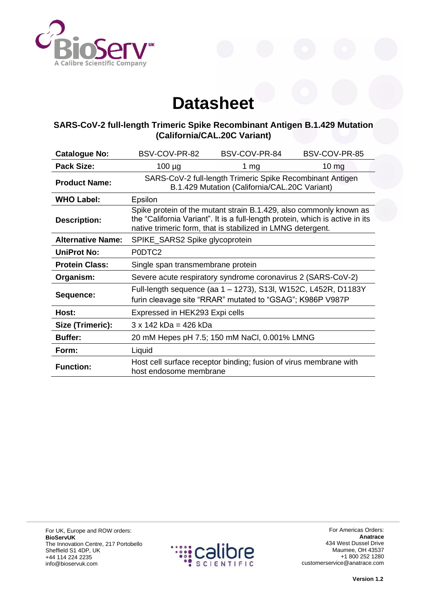

## **Datasheet**

## **SARS-CoV-2 full-length Trimeric Spike Recombinant Antigen B.1.429 Mutation (California/CAL.20C Variant)**

| <b>Catalogue No:</b>     | BSV-COV-PR-82                                                                                                                                                                                                      | BSV-COV-PR-84 | BSV-COV-PR-85 |
|--------------------------|--------------------------------------------------------------------------------------------------------------------------------------------------------------------------------------------------------------------|---------------|---------------|
| <b>Pack Size:</b>        | $100 \mu g$                                                                                                                                                                                                        | 1 $mg$        | $10 \, mg$    |
| <b>Product Name:</b>     | SARS-CoV-2 full-length Trimeric Spike Recombinant Antigen<br>B.1.429 Mutation (California/CAL.20C Variant)                                                                                                         |               |               |
| <b>WHO Label:</b>        | Epsilon                                                                                                                                                                                                            |               |               |
| <b>Description:</b>      | Spike protein of the mutant strain B.1.429, also commonly known as<br>the "California Variant". It is a full-length protein, which is active in its<br>native trimeric form, that is stabilized in LMNG detergent. |               |               |
| <b>Alternative Name:</b> | SPIKE_SARS2 Spike glycoprotein                                                                                                                                                                                     |               |               |
| <b>UniProt No:</b>       | P0DTC2                                                                                                                                                                                                             |               |               |
| <b>Protein Class:</b>    | Single span transmembrane protein                                                                                                                                                                                  |               |               |
| Organism:                | Severe acute respiratory syndrome coronavirus 2 (SARS-CoV-2)                                                                                                                                                       |               |               |
| Sequence:                | Full-length sequence (aa 1 - 1273), S13l, W152C, L452R, D1183Y<br>furin cleavage site "RRAR" mutated to "GSAG"; K986P V987P                                                                                        |               |               |
| Host:                    | Expressed in HEK293 Expi cells                                                                                                                                                                                     |               |               |
| Size (Trimeric):         | $3 \times 142$ kDa = 426 kDa                                                                                                                                                                                       |               |               |
| <b>Buffer:</b>           | 20 mM Hepes pH 7.5; 150 mM NaCl, 0.001% LMNG                                                                                                                                                                       |               |               |
| Form:                    | Liquid                                                                                                                                                                                                             |               |               |
| <b>Function:</b>         | Host cell surface receptor binding; fusion of virus membrane with<br>host endosome membrane                                                                                                                        |               |               |